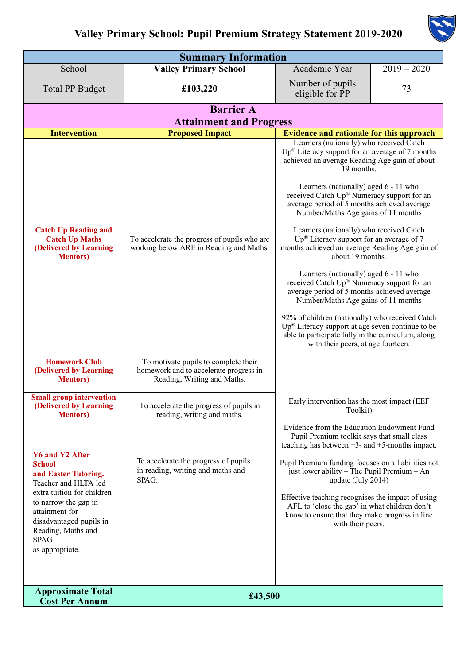

| <b>Summary Information</b>                                                                                                                                                                                                                         |                                                                                                               |                                                                                                                                                                                                                                                                                                                                                                                                                                                                                                                                                                                                                                                                                                                                                                                                                                           |               |  |  |  |  |
|----------------------------------------------------------------------------------------------------------------------------------------------------------------------------------------------------------------------------------------------------|---------------------------------------------------------------------------------------------------------------|-------------------------------------------------------------------------------------------------------------------------------------------------------------------------------------------------------------------------------------------------------------------------------------------------------------------------------------------------------------------------------------------------------------------------------------------------------------------------------------------------------------------------------------------------------------------------------------------------------------------------------------------------------------------------------------------------------------------------------------------------------------------------------------------------------------------------------------------|---------------|--|--|--|--|
| School                                                                                                                                                                                                                                             | <b>Valley Primary School</b>                                                                                  | Academic Year                                                                                                                                                                                                                                                                                                                                                                                                                                                                                                                                                                                                                                                                                                                                                                                                                             | $2019 - 2020$ |  |  |  |  |
| <b>Total PP Budget</b>                                                                                                                                                                                                                             | £103,220                                                                                                      | Number of pupils<br>eligible for PP                                                                                                                                                                                                                                                                                                                                                                                                                                                                                                                                                                                                                                                                                                                                                                                                       | 73            |  |  |  |  |
| <b>Barrier A</b>                                                                                                                                                                                                                                   |                                                                                                               |                                                                                                                                                                                                                                                                                                                                                                                                                                                                                                                                                                                                                                                                                                                                                                                                                                           |               |  |  |  |  |
| <b>Attainment and Progress</b>                                                                                                                                                                                                                     |                                                                                                               |                                                                                                                                                                                                                                                                                                                                                                                                                                                                                                                                                                                                                                                                                                                                                                                                                                           |               |  |  |  |  |
| <b>Intervention</b>                                                                                                                                                                                                                                | <b>Proposed Impact</b>                                                                                        | <b>Evidence and rationale for this approach</b><br>Learners (nationally) who received Catch                                                                                                                                                                                                                                                                                                                                                                                                                                                                                                                                                                                                                                                                                                                                               |               |  |  |  |  |
| <b>Catch Up Reading and</b><br><b>Catch Up Maths</b><br>(Delivered by Learning<br><b>Mentors</b> )                                                                                                                                                 | To accelerate the progress of pupils who are<br>working below ARE in Reading and Maths.                       | $Up^{\circledR}$ Literacy support for an average of 7 months<br>achieved an average Reading Age gain of about<br>19 months.<br>Learners (nationally) aged 6 - 11 who<br>received Catch Up® Numeracy support for an<br>average period of 5 months achieved average<br>Number/Maths Age gains of 11 months<br>Learners (nationally) who received Catch<br>Up <sup>®</sup> Literacy support for an average of 7<br>months achieved an average Reading Age gain of<br>about 19 months.<br>Learners (nationally) aged 6 - 11 who<br>received Catch Up® Numeracy support for an<br>average period of 5 months achieved average<br>Number/Maths Age gains of 11 months<br>92% of children (nationally) who received Catch<br>$Up^{\circledR}$ Literacy support at age seven continue to be<br>able to participate fully in the curriculum, along |               |  |  |  |  |
| <b>Homework Club</b><br>(Delivered by Learning<br><b>Mentors</b> )                                                                                                                                                                                 | To motivate pupils to complete their<br>homework and to accelerate progress in<br>Reading, Writing and Maths. | with their peers, at age fourteen.                                                                                                                                                                                                                                                                                                                                                                                                                                                                                                                                                                                                                                                                                                                                                                                                        |               |  |  |  |  |
| <b>Small group intervention</b><br>(Delivered by Learning<br><b>Mentors</b> )                                                                                                                                                                      | To accelerate the progress of pupils in<br>reading, writing and maths.                                        | Early intervention has the most impact (EEF<br>Toolkit)<br>Evidence from the Education Endowment Fund<br>Pupil Premium toolkit says that small class<br>teaching has between $+3$ - and $+5$ -months impact.<br>Pupil Premium funding focuses on all abilities not<br>just lower ability - The Pupil Premium - An<br>update (July 2014)<br>Effective teaching recognises the impact of using<br>AFL to 'close the gap' in what children don't<br>know to ensure that they make progress in line<br>with their peers.                                                                                                                                                                                                                                                                                                                      |               |  |  |  |  |
| <b>Y6 and Y2 After</b><br><b>School</b><br>and Easter Tutoring.<br>Teacher and HLTA led<br>extra tuition for children<br>to narrow the gap in<br>attainment for<br>disadvantaged pupils in<br>Reading, Maths and<br><b>SPAG</b><br>as appropriate. | To accelerate the progress of pupils<br>in reading, writing and maths and<br>SPAG.                            |                                                                                                                                                                                                                                                                                                                                                                                                                                                                                                                                                                                                                                                                                                                                                                                                                                           |               |  |  |  |  |
| <b>Approximate Total</b><br><b>Cost Per Annum</b>                                                                                                                                                                                                  | £43,500                                                                                                       |                                                                                                                                                                                                                                                                                                                                                                                                                                                                                                                                                                                                                                                                                                                                                                                                                                           |               |  |  |  |  |